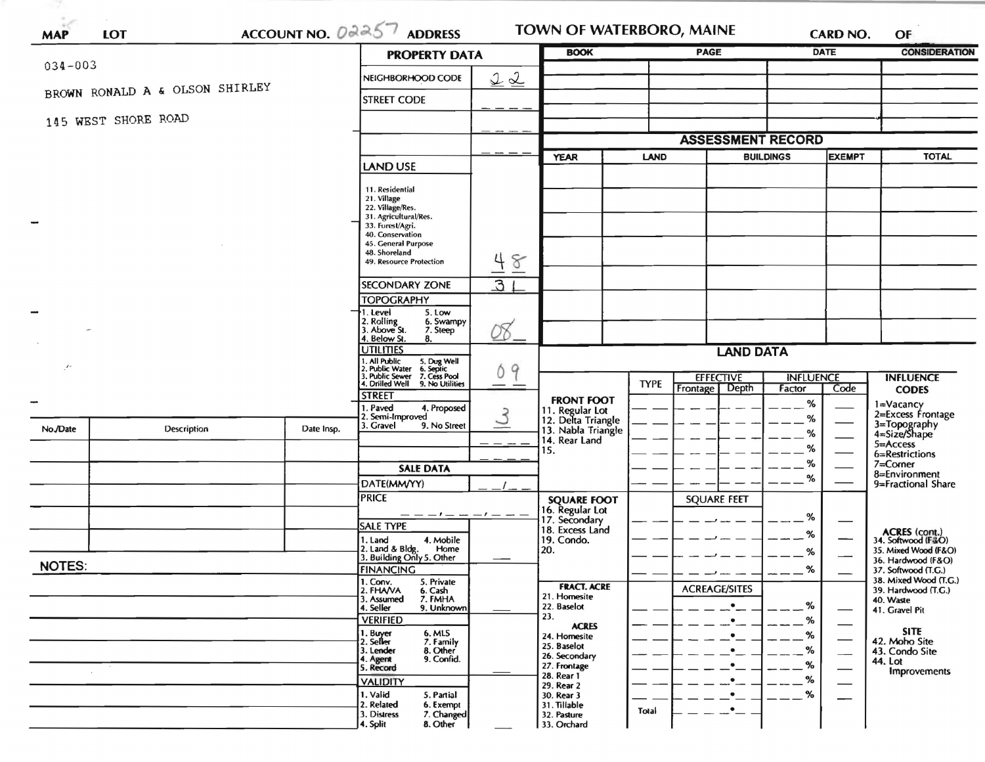|               |                                |            | <b>PROPERTY DATA</b>                                                                                                                                                                   | <b>BOOK</b>   |                                                        | <b>PAGE</b> |                                      | DATE        | <b>CONSIDERATION</b>     |                                            |
|---------------|--------------------------------|------------|----------------------------------------------------------------------------------------------------------------------------------------------------------------------------------------|---------------|--------------------------------------------------------|-------------|--------------------------------------|-------------|--------------------------|--------------------------------------------|
| $034 - 003$   |                                |            | NEIGHBORHOOD CODE                                                                                                                                                                      | 22            |                                                        |             |                                      |             |                          |                                            |
|               | BROWN RONALD A & OLSON SHIRLEY |            | <b>STREET CODE</b>                                                                                                                                                                     |               |                                                        |             |                                      |             |                          |                                            |
|               | 145 WEST SHORE ROAD            |            |                                                                                                                                                                                        |               |                                                        |             |                                      |             |                          |                                            |
|               |                                |            |                                                                                                                                                                                        |               |                                                        |             | <b>ASSESSMENT RECORD</b>             |             |                          |                                            |
|               |                                |            |                                                                                                                                                                                        |               | <b>YEAR</b><br><b>LAND</b>                             |             | <b>BUILDINGS</b><br><b>EXEMPT</b>    |             | <b>TOTAL</b>             |                                            |
|               |                                |            | LAND USE                                                                                                                                                                               |               |                                                        |             |                                      |             |                          |                                            |
|               |                                |            | 11. Residential<br>21. Village<br>22. Village/Res.<br>31. Agricultural/Res.<br>33. Forest/Agri.<br>40. Conservation<br>45. General Purpose<br>48. Shoreland<br>49. Resource Protection | 48            |                                                        |             |                                      |             |                          |                                            |
|               |                                |            | SECONDARY ZONE                                                                                                                                                                         | 31            |                                                        |             |                                      |             |                          |                                            |
|               |                                |            | <b>TOPOGRAPHY</b>                                                                                                                                                                      |               |                                                        |             |                                      |             |                          |                                            |
|               |                                |            | . Level<br>5. Low<br>2. Rolling<br>3. Above St.<br>6. Swampy<br>7. Steep                                                                                                               | 08.           |                                                        |             |                                      |             |                          |                                            |
|               |                                |            | 4. Below St.<br>8.<br><b>UTILITIES</b>                                                                                                                                                 |               | <b>LAND DATA</b>                                       |             |                                      |             |                          |                                            |
| $\mathcal{L}$ |                                |            | 1. All Public<br>2. Public Water<br>3. Public Sewer<br>4. Drilled Well<br>5. Dug Well<br>6. Septic<br>7. Cess Pool<br>9. No Utilities                                                  | Ó<br>9        |                                                        | <b>TYPE</b> | <b>EFFECTIVE</b><br><b>INFLUENCE</b> |             |                          | <b>INFLUENCE</b>                           |
|               |                                |            | <b>STREET</b>                                                                                                                                                                          |               | <b>FRONT FOOT</b>                                      |             | Frontage Depth                       | Factor<br>% | Code                     | <b>CODES</b><br>1=Vacancy                  |
|               |                                |            | 1. Paved<br>4. Proposed<br>2. Semi-Improved                                                                                                                                            | $\mathcal{S}$ | 11. Regular Lot<br>12. Delta Triangle                  |             |                                      | %           |                          | 2=Excess Frontage                          |
| No./Date      | Description                    | Date Insp. | 3. Gravel<br>9. No Street                                                                                                                                                              |               | 13. Nabla Triangle<br>14. Rear Land                    |             |                                      | %           |                          | 3=Topography<br>4=Size/Shape               |
|               |                                |            |                                                                                                                                                                                        |               | 15.                                                    |             |                                      | %           |                          | $5 = Access$<br>6=Restrictions             |
|               |                                |            | <b>SALE DATA</b>                                                                                                                                                                       |               |                                                        |             |                                      | %<br>%      | $7 =$ Corner             |                                            |
|               |                                |            | DATE(MM/YY)                                                                                                                                                                            |               |                                                        |             |                                      |             |                          | 8=Environment<br>9=Fractional Share        |
|               |                                |            | <b>PRICE</b>                                                                                                                                                                           |               | <b>SQUARE FOOT</b><br>16. Regular Lot<br>17. Secondary |             | <b>SQUARE FEET</b>                   |             |                          |                                            |
|               |                                |            | $-- --$                                                                                                                                                                                |               |                                                        |             |                                      | %           |                          |                                            |
|               |                                |            | SALE TYPE<br>1. Land<br>4. Mobile                                                                                                                                                      |               | 18. Excess Land<br>19. Condo.                          |             |                                      | %           | --                       | <b>ACRES</b> (cont.)<br>34. Softwood (F&O) |
|               |                                |            | 2. Land & Bldg. Home<br>3. Building Only 5. Other<br>Home                                                                                                                              |               | 20.                                                    |             |                                      | %           |                          | 35. Mixed Wood (F&O)                       |
| <b>NOTES:</b> |                                |            | <b>FINANCING</b>                                                                                                                                                                       |               |                                                        |             |                                      | %           |                          | 36. Hardwood (F&O)<br>37. Softwood (T.G.)  |
|               |                                |            | 1. Conv.<br>5. Private                                                                                                                                                                 |               | <b>FRACT. ACRE</b>                                     |             | <b>ACREAGE/SITES</b>                 |             |                          | 38. Mixed Wood (T.G.)                      |
|               |                                |            | 2. FHAVA<br>6. Cash<br>3. Assumed<br>7. FMHA                                                                                                                                           |               | 21. Homesite<br>22. Baselot                            |             | $\bullet$                            | %           |                          | 39. Hardwood (T.G.)<br>40. Waste           |
|               |                                |            | 4. Seller<br>9. Unknown<br><b>VERIFIED</b>                                                                                                                                             |               | 23.                                                    |             | $\bullet$                            | %           |                          | 41. Gravel Pit                             |
|               |                                |            | 1. Buyer<br>6. MLS                                                                                                                                                                     |               | <b>ACRES</b><br>24. Homesite                           |             | ٠                                    | %           | $\hspace{0.05cm}$        | <b>SITE</b>                                |
|               |                                |            | 2. Seller<br>7. Family<br>3. Lender<br>8. Other                                                                                                                                        |               | 25. Baselot<br>26. Secondary                           |             | ٠                                    | %           | $\overline{\phantom{0}}$ | 42. Moho Site<br>43. Condo Site            |
|               |                                |            | 9. Confid.<br>4. Agent<br>5. Record                                                                                                                                                    |               | 27. Frontage                                           |             | $\bullet$                            | %           |                          | 44. Lot<br><b>Improvements</b>             |
|               |                                |            | <b>VALIDITY</b>                                                                                                                                                                        |               | 28. Rear 1<br>29. Rear 2                               |             | ٠                                    | %           |                          |                                            |
|               |                                |            | 1. Valid<br>5. Partial                                                                                                                                                                 |               | 30. Rear 3                                             |             | $\bullet$                            | %           |                          |                                            |
|               |                                |            | 2. Related<br>6. Exempt<br>3. Distress<br>7. Changed                                                                                                                                   |               | 31. Tillable<br>32. Pasture                            | Total       | $\bullet$                            |             |                          |                                            |
|               |                                |            | 4. Split<br>8. Other                                                                                                                                                                   |               | 33. Orchard                                            |             |                                      |             |                          |                                            |